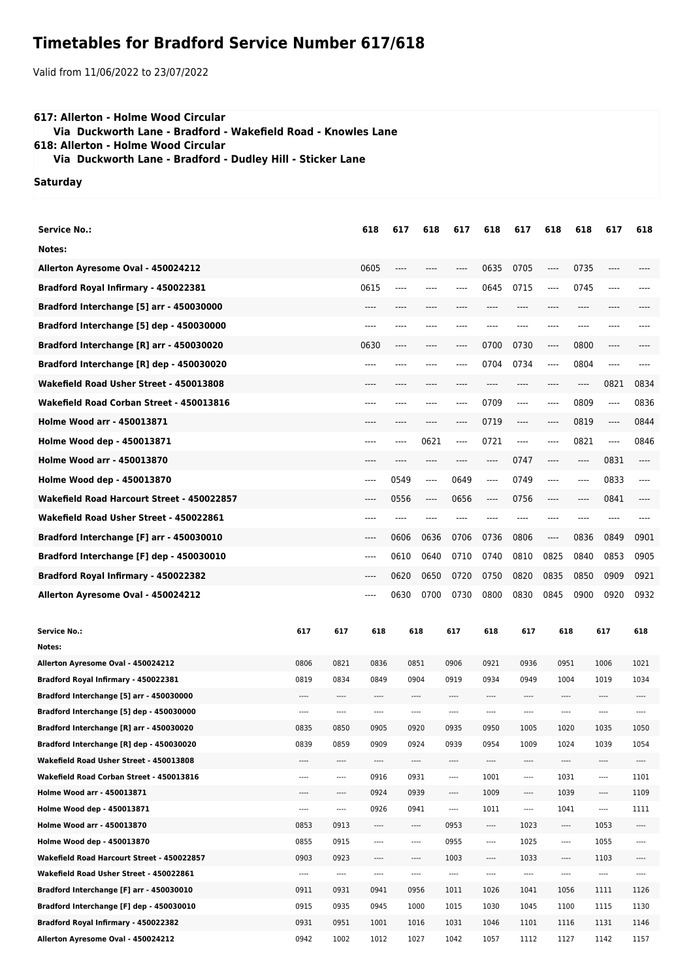## **Timetables for Bradford Service Number 617/618**

Valid from 11/06/2022 to 23/07/2022

## **617: Allerton - Holme Wood Circular Via Duckworth Lane - Bradford - Wakefield Road - Knowles Lane 618: Allerton - Holme Wood Circular**

 **Via Duckworth Lane - Bradford - Dudley Hill - Sticker Lane**

## **Saturday**

| <b>Service No.:</b>                                                                  |              |              | 618          | 617  | 618          | 617          | 618          | 617          | 618                           | 618  | 617          | 618          |
|--------------------------------------------------------------------------------------|--------------|--------------|--------------|------|--------------|--------------|--------------|--------------|-------------------------------|------|--------------|--------------|
| Notes:                                                                               |              |              |              |      |              |              |              |              |                               |      |              |              |
| Allerton Ayresome Oval - 450024212                                                   |              |              | 0605         | ---- | ----         | ----         | 0635         | 0705         | $\hspace{1.5cm} \textbf{---}$ | 0735 | ----         |              |
| Bradford Royal Infirmary - 450022381                                                 |              |              | 0615         | ---- |              |              | 0645         | 0715         | ----                          | 0745 | ----         |              |
| Bradford Interchange [5] arr - 450030000                                             |              |              |              |      |              |              |              |              |                               |      |              |              |
| Bradford Interchange [5] dep - 450030000                                             |              |              | ----         | ---- |              |              |              |              | ---                           |      |              |              |
| Bradford Interchange [R] arr - 450030020                                             |              |              | 0630         | ---- | ----         | ----         | 0700         | 0730         | $---$                         | 0800 | ----         |              |
| Bradford Interchange [R] dep - 450030020                                             |              |              | ----         |      |              | ----         | 0704         | 0734         | ----                          | 0804 | ----         |              |
| Wakefield Road Usher Street - 450013808                                              |              |              |              |      |              |              |              |              |                               | ---- | 0821         | 0834         |
| Wakefield Road Corban Street - 450013816                                             |              |              | ----         |      | ----         | ----         | 0709         | ----         | $-----$                       | 0809 | ----         | 0836         |
| <b>Holme Wood arr - 450013871</b>                                                    |              |              |              | ---- | ----         | ----         | 0719         | $---$        | $---$                         | 0819 | ----         | 0844         |
| Holme Wood dep - 450013871                                                           |              |              | ----         |      | 0621         | ----         | 0721         | ----         | ----                          | 0821 | ----         | 0846         |
| <b>Holme Wood arr - 450013870</b>                                                    |              |              |              |      |              |              | ----         | 0747         | ----                          | ---- | 0831         |              |
| Holme Wood dep - 450013870                                                           |              |              | ----         | 0549 | $-----$      | 0649         | ----         | 0749         | $-----$                       | ---- | 0833         | ----         |
| Wakefield Road Harcourt Street - 450022857                                           |              |              | ----         | 0556 | $-----$      | 0656         | ----         | 0756         | ----                          | ---- | 0841         | ----         |
|                                                                                      |              |              |              |      |              |              |              |              |                               |      |              |              |
| Wakefield Road Usher Street - 450022861                                              |              |              | ----         | ---- |              |              |              |              | ----                          | ---- | ----         |              |
| Bradford Interchange [F] arr - 450030010                                             |              |              | ----         | 0606 | 0636         | 0706         | 0736         | 0806         | $\hspace{1.5cm} \textbf{---}$ | 0836 | 0849         | 0901         |
| Bradford Interchange [F] dep - 450030010                                             |              |              | ----         | 0610 | 0640         | 0710         | 0740         | 0810         | 0825                          | 0840 | 0853         | 0905         |
| Bradford Royal Infirmary - 450022382                                                 |              |              | ----         | 0620 | 0650         | 0720         | 0750         | 0820         | 0835                          | 0850 | 0909         | 0921         |
| Allerton Ayresome Oval - 450024212                                                   |              |              | ----         | 0630 | 0700         | 0730         | 0800         | 0830         | 0845                          | 0900 | 0920         | 0932         |
|                                                                                      |              |              |              |      |              |              |              |              |                               |      |              |              |
|                                                                                      |              |              |              |      |              |              |              |              |                               |      |              |              |
| <b>Service No.:</b>                                                                  | 617          | 617          | 618          |      | 618          | 617          | 618          | 617          | 618                           |      | 617          | 618          |
| Notes:                                                                               |              |              |              |      |              |              |              |              |                               |      |              |              |
| Allerton Ayresome Oval - 450024212                                                   | 0806         | 0821         | 0836         |      | 0851         | 0906         | 0921         | 0936         | 0951                          |      | 1006         | 1021         |
| Bradford Royal Infirmary - 450022381                                                 | 0819<br>---- | 0834<br>---- | 0849<br>---- |      | 0904<br>---- | 0919<br>---- | 0934<br>---- | 0949<br>---- | 1004<br>----                  |      | 1019<br>---- | 1034<br>---- |
| Bradford Interchange [5] arr - 450030000<br>Bradford Interchange [5] dep - 450030000 | ----         | ----         | ----         |      | ----         | ----         | ----         | ----         | ----                          |      | ----         | ----         |
| Bradford Interchange [R] arr - 450030020                                             | 0835         | 0850         | 0905         |      | 0920         | 0935         | 0950         | 1005         | 1020                          |      | 1035         | 1050         |
| Bradford Interchange [R] dep - 450030020                                             | 0839         | 0859         | 0909         |      | 0924         | 0939         | 0954         | 1009         | 1024                          |      | 1039         | 1054         |
| Wakefield Road Usher Street - 450013808                                              | ----         | ----         | ----         |      | ----         | ----         | ----         | ----         | ----                          |      | ----         | ----         |
| Wakefield Road Corban Street - 450013816                                             | ----         | ----         | 0916         |      | 0931         | ----         | 1001         | $\cdots$     | 1031                          |      | ----         | 1101         |
| Holme Wood arr - 450013871                                                           | ----         | ----         | 0924         |      | 0939         | ----         | 1009         | ----         | 1039                          |      | ----         | 1109         |
| Holme Wood dep - 450013871                                                           | ----         | ----         | 0926         |      | 0941         | ----         | 1011         | $\cdots$     | 1041                          |      | ----         | 1111         |
| Holme Wood arr - 450013870                                                           | 0853         | 0913         | ----         |      | ----         | 0953         | ----         | 1023         | ----                          |      | 1053         | ----         |
| Holme Wood dep - 450013870                                                           | 0855         | 0915         | $\cdots$     |      | $\cdots$     | 0955         | $\cdots$     | 1025         | ----                          |      | 1055         | $\cdots$     |
| Wakefield Road Harcourt Street - 450022857                                           | 0903         | 0923         | ----         |      | ----         | 1003         | ----         | 1033         | ----                          |      | 1103         | ----         |
| Wakefield Road Usher Street - 450022861                                              | ----         | $\cdots$     | ----         |      | $\cdots$     | ----         | ----         | ----         | ----                          |      | ----         | ----         |
| Bradford Interchange [F] arr - 450030010                                             | 0911         | 0931         | 0941         |      | 0956         | 1011         | 1026         | 1041         | 1056                          |      | 1111         | 1126         |
| Bradford Interchange [F] dep - 450030010                                             | 0915         | 0935         | 0945         |      | 1000         | 1015         | 1030         | 1045         | 1100                          |      | 1115         | 1130         |
| Bradford Royal Infirmary - 450022382                                                 | 0931         | 0951         | 1001         |      | 1016         | 1031         | 1046         | 1101         | 1116                          |      | 1131         | 1146         |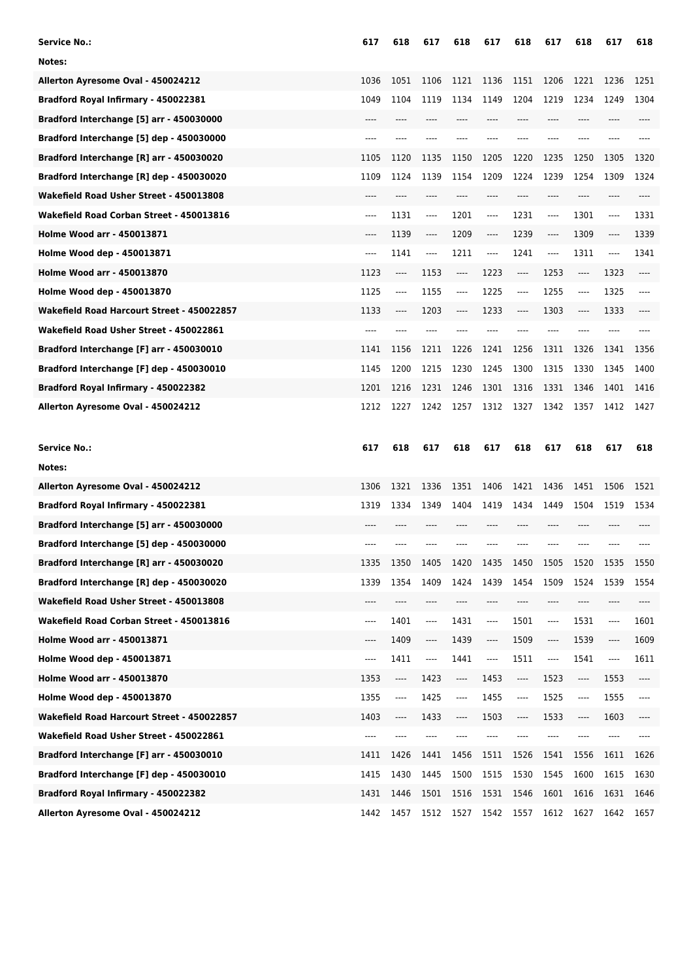| <b>Service No.:</b>                        | 617  | 618  | 617                           | 618  | 617  | 618                      | 617     | 618   | 617  | 618  |
|--------------------------------------------|------|------|-------------------------------|------|------|--------------------------|---------|-------|------|------|
| Notes:                                     |      |      |                               |      |      |                          |         |       |      |      |
| Allerton Ayresome Oval - 450024212         | 1036 | 1051 | 1106                          | 1121 | 1136 | 1151                     | 1206    | 1221  | 1236 | 1251 |
| Bradford Royal Infirmary - 450022381       | 1049 | 1104 | 1119                          | 1134 | 1149 | 1204                     | 1219    | 1234  | 1249 | 1304 |
| Bradford Interchange [5] arr - 450030000   | ---- | ---- |                               | ---- |      | ----                     | ----    | ----  | ---- |      |
| Bradford Interchange [5] dep - 450030000   | ---- |      |                               |      |      |                          | ----    |       |      |      |
| Bradford Interchange [R] arr - 450030020   | 1105 | 1120 | 1135                          | 1150 | 1205 | 1220                     | 1235    | 1250  | 1305 | 1320 |
| Bradford Interchange [R] dep - 450030020   | 1109 | 1124 | 1139                          | 1154 | 1209 | 1224                     | 1239    | 1254  | 1309 | 1324 |
| Wakefield Road Usher Street - 450013808    | ---- | ---- | ----                          | ---- | ---- | ----                     | ----    | ----  | ---- | ---- |
| Wakefield Road Corban Street - 450013816   | ---- | 1131 | $---$                         | 1201 | ---- | 1231                     | ----    | 1301  | ---- | 1331 |
| <b>Holme Wood arr - 450013871</b>          | ---- | 1139 | $-----$                       | 1209 | ---- | 1239                     | ----    | 1309  | ---- | 1339 |
| Holme Wood dep - 450013871                 | ---- | 1141 | ----                          | 1211 | ---- | 1241                     | ----    | 1311  | ---- | 1341 |
| <b>Holme Wood arr - 450013870</b>          | 1123 | ---- | 1153                          | ---- | 1223 | ----                     | 1253    | ----  | 1323 | ---- |
| Holme Wood dep - 450013870                 | 1125 | ---- | 1155                          | ---- | 1225 | $---$                    | 1255    | $---$ | 1325 | ---- |
| Wakefield Road Harcourt Street - 450022857 | 1133 | ---- | 1203                          | ---- | 1233 | $-----$                  | 1303    | ----  | 1333 |      |
| Wakefield Road Usher Street - 450022861    | ---- |      |                               |      |      |                          |         |       |      |      |
| Bradford Interchange [F] arr - 450030010   | 1141 | 1156 | 1211                          | 1226 | 1241 | 1256                     | 1311    | 1326  | 1341 | 1356 |
| Bradford Interchange [F] dep - 450030010   | 1145 | 1200 | 1215                          | 1230 | 1245 | 1300                     | 1315    | 1330  | 1345 | 1400 |
| Bradford Royal Infirmary - 450022382       | 1201 | 1216 | 1231                          | 1246 | 1301 | 1316                     | 1331    | 1346  | 1401 | 1416 |
| Allerton Ayresome Oval - 450024212         | 1212 | 1227 | 1242                          | 1257 | 1312 | 1327                     | 1342    | 1357  | 1412 | 1427 |
|                                            |      |      |                               |      |      |                          |         |       |      |      |
|                                            |      |      |                               |      |      |                          |         |       |      |      |
| <b>Service No.:</b>                        | 617  | 618  | 617                           | 618  | 617  | 618                      | 617     | 618   | 617  | 618  |
| Notes:                                     |      |      |                               |      |      |                          |         |       |      |      |
| Allerton Ayresome Oval - 450024212         | 1306 | 1321 | 1336                          | 1351 | 1406 | 1421                     | 1436    | 1451  | 1506 | 1521 |
| Bradford Royal Infirmary - 450022381       | 1319 | 1334 | 1349                          | 1404 | 1419 | 1434                     | 1449    | 1504  | 1519 | 1534 |
| Bradford Interchange [5] arr - 450030000   | ---- |      |                               |      |      |                          | ----    | ----  |      |      |
| Bradford Interchange [5] dep - 450030000   |      |      |                               |      |      |                          |         |       |      |      |
| Bradford Interchange [R] arr - 450030020   | 1335 | 1350 | 1405                          | 1420 | 1435 | 1450                     | 1505    | 1520  | 1535 | 1550 |
| Bradford Interchange [R] dep - 450030020   | 1339 | 1354 | 1409                          | 1424 | 1439 | 1454                     | 1509    | 1524  | 1539 | 1554 |
| Wakefield Road Usher Street - 450013808    | ---- | ---- | ----                          | ---- | ---- | ----                     | $-----$ | ----  | ---- | ---- |
| Wakefield Road Corban Street - 450013816   | ---- | 1401 | ----                          | 1431 | ---- | 1501                     | ----    | 1531  | ---- | 1601 |
| Holme Wood arr - 450013871                 | ---- | 1409 | $\hspace{1.5cm} \textbf{---}$ | 1439 | ---- | 1509                     | ----    | 1539  | ---- | 1609 |
| Holme Wood dep - 450013871                 | ---- | 1411 | ----                          | 1441 | ---- | 1511                     | ----    | 1541  | ---- | 1611 |
| Holme Wood arr - 450013870                 | 1353 | ---- | 1423                          | ---- | 1453 | $\overline{\phantom{a}}$ | 1523    | ----  | 1553 | ---- |
| Holme Wood dep - 450013870                 | 1355 | ---- | 1425                          | ---- | 1455 | ----                     | 1525    | ----  | 1555 | ---- |
| Wakefield Road Harcourt Street - 450022857 | 1403 | ---- | 1433                          | ---- | 1503 | $---$                    | 1533    | ----  | 1603 | ---- |
| Wakefield Road Usher Street - 450022861    | ---- |      | ----                          |      |      |                          |         |       | ---- |      |
| Bradford Interchange [F] arr - 450030010   | 1411 | 1426 | 1441                          | 1456 | 1511 | 1526                     | 1541    | 1556  | 1611 | 1626 |
| Bradford Interchange [F] dep - 450030010   | 1415 | 1430 | 1445                          | 1500 | 1515 | 1530                     | 1545    | 1600  | 1615 | 1630 |
| Bradford Royal Infirmary - 450022382       | 1431 | 1446 | 1501                          | 1516 | 1531 | 1546                     | 1601    | 1616  | 1631 | 1646 |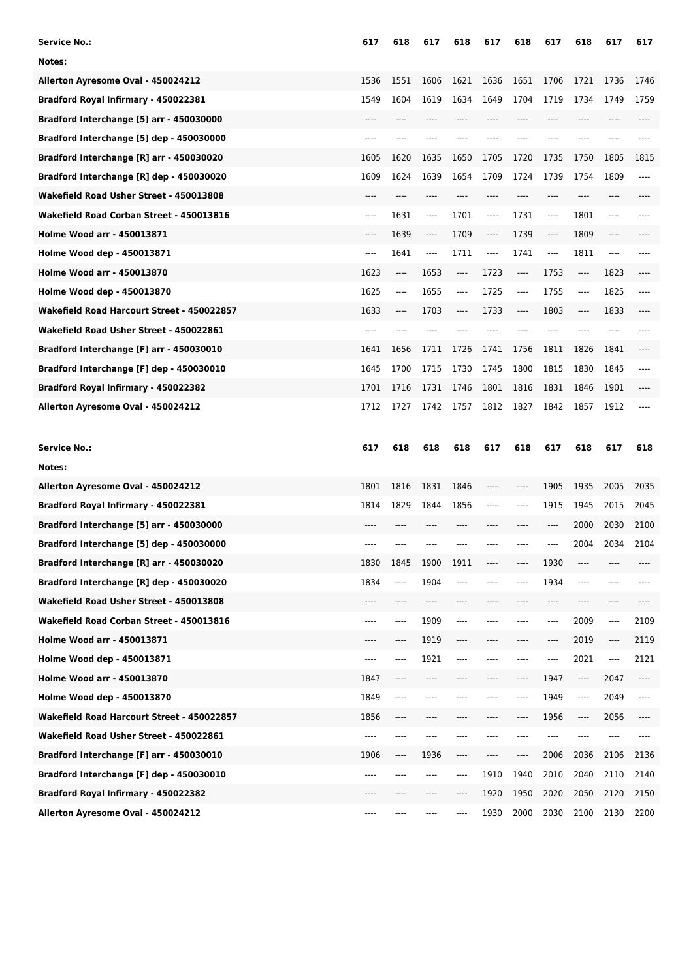| <b>Service No.:</b>                        | 617   | 618  | 617   | 618  | 617   | 618   | 617                           | 618     | 617   | 617  |
|--------------------------------------------|-------|------|-------|------|-------|-------|-------------------------------|---------|-------|------|
| Notes:                                     |       |      |       |      |       |       |                               |         |       |      |
| Allerton Ayresome Oval - 450024212         | 1536  | 1551 | 1606  | 1621 | 1636  | 1651  | 1706                          | 1721    | 1736  | 1746 |
| Bradford Royal Infirmary - 450022381       | 1549  | 1604 | 1619  | 1634 | 1649  | 1704  | 1719                          | 1734    | 1749  | 1759 |
| Bradford Interchange [5] arr - 450030000   | ----  | ---- | $---$ | ---- |       | $---$ | ----                          | ----    | ----  |      |
| Bradford Interchange [5] dep - 450030000   | ----  | ---- | ----  | ---- |       | $---$ | ----                          | ----    | ----  |      |
| Bradford Interchange [R] arr - 450030020   | 1605  | 1620 | 1635  | 1650 | 1705  | 1720  | 1735                          | 1750    | 1805  | 1815 |
| Bradford Interchange [R] dep - 450030020   | 1609  | 1624 | 1639  | 1654 | 1709  | 1724  | 1739                          | 1754    | 1809  | ---- |
| Wakefield Road Usher Street - 450013808    | $---$ | ---- | ----  | ---- | ----  | $---$ | ----                          | ----    | ----  |      |
| Wakefield Road Corban Street - 450013816   | $---$ | 1631 | ----  | 1701 | ----  | 1731  | ----                          | 1801    | ----  |      |
| <b>Holme Wood arr - 450013871</b>          | $---$ | 1639 | $---$ | 1709 | $---$ | 1739  | $\cdots$                      | 1809    | $---$ |      |
| Holme Wood dep - 450013871                 | $---$ | 1641 | $---$ | 1711 | ----  | 1741  | ----                          | 1811    | ----  |      |
| <b>Holme Wood arr - 450013870</b>          | 1623  | ---- | 1653  | ---- | 1723  | ----  | 1753                          | ----    | 1823  | ---- |
| Holme Wood dep - 450013870                 | 1625  | ---- | 1655  | ---- | 1725  | $---$ | 1755                          | $-----$ | 1825  | ---- |
| Wakefield Road Harcourt Street - 450022857 | 1633  | ---- | 1703  | ---- | 1733  | $---$ | 1803                          | ----    | 1833  |      |
| Wakefield Road Usher Street - 450022861    | ----  | ---- | ----  |      |       | $---$ | ----                          | ----    | ----  |      |
| Bradford Interchange [F] arr - 450030010   | 1641  | 1656 | 1711  | 1726 | 1741  | 1756  | 1811                          | 1826    | 1841  |      |
| Bradford Interchange [F] dep - 450030010   | 1645  | 1700 | 1715  | 1730 | 1745  | 1800  | 1815                          | 1830    | 1845  | ---- |
| Bradford Royal Infirmary - 450022382       | 1701  | 1716 | 1731  | 1746 | 1801  | 1816  | 1831                          | 1846    | 1901  | ---- |
| Allerton Ayresome Oval - 450024212         | 1712  | 1727 | 1742  | 1757 | 1812  | 1827  | 1842                          | 1857    | 1912  |      |
|                                            |       |      |       |      |       |       |                               |         |       |      |
|                                            |       |      |       |      |       |       |                               |         |       |      |
| <b>Service No.:</b>                        | 617   | 618  | 618   | 618  | 617   | 618   | 617                           | 618     | 617   | 618  |
| Notes:                                     |       |      |       |      |       |       |                               |         |       |      |
| Allerton Ayresome Oval - 450024212         | 1801  | 1816 | 1831  | 1846 | ----  | ----  | 1905                          | 1935    | 2005  | 2035 |
| Bradford Royal Infirmary - 450022381       | 1814  | 1829 | 1844  | 1856 | ----  | ----  | 1915                          | 1945    | 2015  | 2045 |
| Bradford Interchange [5] arr - 450030000   | ----  |      |       |      |       |       | ----                          | 2000    | 2030  | 2100 |
| Bradford Interchange [5] dep - 450030000   |       |      |       |      |       |       | ----                          | 2004    | 2034  | 2104 |
| Bradford Interchange [R] arr - 450030020   | 1830  | 1845 | 1900  | 1911 |       |       | 1930                          |         |       |      |
| Bradford Interchange [R] dep - 450030020   | 1834  | ---- | 1904  | ---- |       |       | 1934                          | ----    | ----  |      |
| Wakefield Road Usher Street - 450013808    | ----  | ---- | ----  | ---- |       | ----  | $\hspace{1.5cm} \textbf{---}$ | ----    | ----  |      |
| Wakefield Road Corban Street - 450013816   | ----  | ---- | 1909  | ---- |       |       | ----                          | 2009    | ----  | 2109 |
| Holme Wood arr - 450013871                 | ----  | ---- | 1919  | ---- |       |       | ----                          | 2019    | ----  | 2119 |
| Holme Wood dep - 450013871                 | ----  | ---- | 1921  | ---- | ----  | ----  | ----                          | 2021    | ----  | 2121 |
| <b>Holme Wood arr - 450013870</b>          | 1847  | ---- | ----  | ---- |       | ----  | 1947                          | ----    | 2047  | ---- |
| Holme Wood dep - 450013870                 | 1849  | ---- |       | ---- |       | ----  | 1949                          | ----    | 2049  | ---- |
| Wakefield Road Harcourt Street - 450022857 | 1856  | ---- | ----  | ---- |       | ----  | 1956                          | ----    | 2056  | ---- |
| Wakefield Road Usher Street - 450022861    | ----  | ---- |       | ---- |       | ----  | ----                          |         | ----  |      |
| Bradford Interchange [F] arr - 450030010   | 1906  | ---- | 1936  | ---- | ----  | ----  | 2006                          | 2036    | 2106  | 2136 |
| Bradford Interchange [F] dep - 450030010   | ----  |      |       | ---- | 1910  | 1940  | 2010                          | 2040    | 2110  | 2140 |
| Bradford Royal Infirmary - 450022382       | ----  |      | ----  | ---- | 1920  | 1950  | 2020                          | 2050    | 2120  | 2150 |